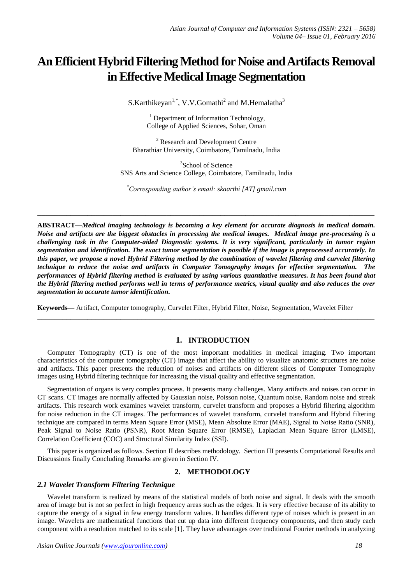# **An Efficient Hybrid Filtering Method for Noise and Artifacts Removal in Effective Medical Image Segmentation**

S.Karthikeyan<sup>1,\*</sup>, V.V.Gomathi<sup>2</sup> and M.Hemalatha<sup>3</sup>

<sup>1</sup> Department of Information Technology, College of Applied Sciences, Sohar, Oman

<sup>2</sup> Research and Development Centre Bharathiar University, Coimbatore, Tamilnadu, India

<sup>3</sup>School of Science SNS Arts and Science College, Coimbatore, Tamilnadu, India

*\*Corresponding author's email: skaarthi [AT] gmail.com*

**\_\_\_\_\_\_\_\_\_\_\_\_\_\_\_\_\_\_\_\_\_\_\_\_\_\_\_\_\_\_\_\_\_\_\_\_\_\_\_\_\_\_\_\_\_\_\_\_\_\_\_\_\_\_\_\_\_\_\_\_\_\_\_\_\_\_\_\_\_\_\_\_\_\_\_\_\_\_\_\_\_**

**ABSTRACT—***Medical imaging technology is becoming a key element for accurate diagnosis in medical domain. Noise and artifacts are the biggest obstacles in processing the medical images. Medical image pre-processing is a challenging task in the Computer-aided Diagnostic systems. It is very significant, particularly in tumor region segmentation and identification. The exact tumor segmentation is possible if the image is preprocessed accurately. In this paper, we propose a novel Hybrid Filtering method by the combination of wavelet filtering and curvelet filtering technique to reduce the noise and artifacts in Computer Tomography images for effective segmentation. The performances of Hybrid filtering method is evaluated by using various quantitative measures. It has been found that the Hybrid filtering method performs well in terms of performance metrics, visual quality and also reduces the over segmentation in accurate tumor identification.*

**Keywords—** Artifact, Computer tomography, Curvelet Filter, Hybrid Filter, Noise, Segmentation, Wavelet Filter

# **1. INTRODUCTION**

Computer Tomography (CT) is one of the most important modalities in medical imaging. Two important characteristics of the computer tomography (CT) image that affect the ability to visualize anatomic structures are noise and artifacts. This paper presents the reduction of noises and artifacts on different slices of Computer Tomography images using Hybrid filtering technique for increasing the visual quality and effective segmentation.

**\_\_\_\_\_\_\_\_\_\_\_\_\_\_\_\_\_\_\_\_\_\_\_\_\_\_\_\_\_\_\_\_\_\_\_\_\_\_\_\_\_\_\_\_\_\_\_\_\_\_\_\_\_\_\_\_\_\_\_\_\_\_\_\_\_\_\_\_\_\_\_\_\_\_\_\_\_\_\_\_\_**

Segmentation of organs is very complex process. It presents many challenges. Many artifacts and noises can occur in CT scans. CT images are normally affected by Gaussian noise, Poisson noise, Quantum noise, Random noise and streak artifacts. This research work examines wavelet transform, curvelet transform and proposes a Hybrid filtering algorithm for noise reduction in the CT images. The performances of wavelet transform, curvelet transform and Hybrid filtering technique are compared in terms Mean Square Error (MSE), Mean Absolute Error (MAE), Signal to Noise Ratio (SNR), Peak Signal to Noise Ratio (PSNR), Root Mean Square Error (RMSE), Laplacian Mean Square Error (LMSE), Correlation Coefficient (COC) and Structural Similarity Index (SSI).

This paper is organized as follows. Section II describes methodology. Section III presents Computational Results and Discussions finally Concluding Remarks are given in Section IV.

# **2. METHODOLOGY**

# *2.1 Wavelet Transform Filtering Technique*

Wavelet transform is realized by means of the statistical models of both noise and signal. It deals with the smooth area of image but is not so perfect in high frequency areas such as the edges. It is very effective because of its ability to capture the energy of a signal in few energy transform values. It handles different type of noises which is present in an image. Wavelets are mathematical functions that cut up data into different frequency components, and then study each component with a resolution matched to its scale [1]. They have advantages over traditional Fourier methods in analyzing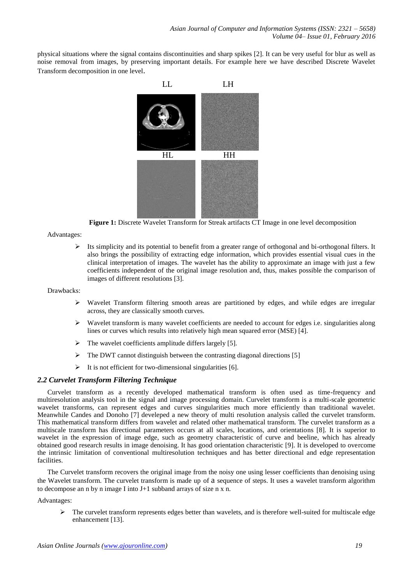physical situations where the signal contains discontinuities and sharp spikes [2]. It can be very useful for blur as well as noise removal from images, by preserving important details. For example here we have described Discrete Wavelet Transform decomposition in one level.



**Figure 1:** Discrete Wavelet Transform for Streak artifacts CT Image in one level decomposition

# Advantages:

 $\triangleright$  Its simplicity and its potential to benefit from a greater range of orthogonal and bi-orthogonal filters. It also brings the possibility of extracting edge information, which provides essential visual cues in the clinical interpretation of images. The wavelet has the ability to approximate an image with just a few coefficients independent of the original image resolution and, thus, makes possible the comparison of images of different resolutions [3].

### Drawbacks:

- $\triangleright$  Wavelet Transform filtering smooth areas are partitioned by edges, and while edges are irregular across, they are classically smooth curves.
- $\triangleright$  Wavelet transform is many wavelet coefficients are needed to account for edges i.e. singularities along lines or curves which results into relatively high mean squared error (MSE) [4].
- $\triangleright$  The wavelet coefficients amplitude differs largely [5].
- $\triangleright$  The DWT cannot distinguish between the contrasting diagonal directions [5]
- $\triangleright$  It is not efficient for two-dimensional singularities [6].

# *2.2 Curvelet Transform Filtering Technique*

Curvelet transform as a recently developed mathematical transform is often used as time-frequency and multiresolution analysis tool in the signal and image processing domain. Curvelet transform is a multi-scale geometric wavelet transforms, can represent edges and curves singularities much more efficiently than traditional wavelet. Meanwhile Candes and Donoho [7] develeped a new theory of multi resolution analysis called the curvelet transform. This mathematical transform differs from wavelet and related other mathematical transform. The curvelet transform as a multiscale transform has directional parameters occurs at all scales, locations, and orientations [8]. It is superior to wavelet in the expression of image edge, such as geometry characteristic of curve and beeline, which has already obtained good research results in image denoising. It has good orientation characteristic [9]. It is developed to overcome the intrinsic limitation of conventional multiresolution techniques and has better directional and edge representation facilities.

The Curvelet transform recovers the original image from the noisy one using lesser coefficients than denoising using the Wavelet transform. The curvelet transform is made up of a sequence of steps. It uses a wavelet transform algorithm to decompose an n by n image I into J+1 subband arrays of size n x n.

Advantages:

 $\triangleright$  The curvelet transform represents edges better than wavelets, and is therefore well-suited for multiscale edge enhancement [13].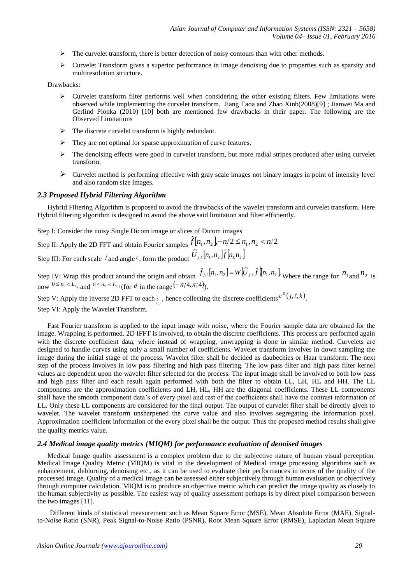- $\triangleright$  The curvelet transform, there is better detection of noisy contours than with other methods.
- $\triangleright$  Curvelet Transform gives a superior performance in image denoising due to properties such as sparsity and multiresolution structure.

Drawbacks:

- $\triangleright$  Curvelet transform filter performs well when considering the other existing filters. Few limitations were observed while implementing the curvelet transform. Jiang Taoa and Zhao Xinb(2008)[9] ; Jianwei Ma and Gerlind Plonka (2010) [10] both are mentioned few drawbacks in their paper. The following are the Observed Limitations
- $\triangleright$  The discrete curvelet transform is highly redundant.
- $\triangleright$  They are not optimal for sparse approximation of curve features.
- $\triangleright$  The denoising effects were good in curvelet transform, but more radial stripes produced after using curvelet transform.
- $\triangleright$  Curvelet method is performing effective with gray scale images not binary images in point of intensity level and also random size images.

#### *2.3 Proposed Hybrid Filtering Algorithm*

Hybrid Filtering Algorithm is proposed to avoid the drawbacks of the wavelet transform and curvelet transform. Here Hybrid filtering algorithm is designed to avoid the above said limitation and filter efficiently.

Step I: Consider the noisy Single Dicom image or slices of Dicom images

Step II: Apply the 2D FFT and obtain Fourier samples  $\hat{f}[n_1, n_2] - n/2 \le n_1, n_2 < n/2$ Step III: For each scale *j* and angle  $\ell$ , form the product  $\tilde{U}_{j,\ell}[n_1, n_2]$   $\hat{f}[n_1, n_2]$ 

Step IV: Wrap this product around the origin and obtain  $\hat{f}_{j,\ell}[n_1,n_2] = W(\tilde{U}_{j,\ell}\hat{f})[n_1,n_2]$ , Where the range for  $n_1$  and  $n_2$  is now  $0 \le n_1 < L_{1,j}$ , and  $0 \le n_2 < L_{2,j}$  (for  $\theta$  in the range  $(-\pi/4, \pi/4)$ ).

Step V: Apply the inverse 2D FFT to each  $_{\hat{f}_{j,l}}$ , hence collecting the discrete coefficients  $c^D(j,\ell,k)$ .

Step VI: Apply the Wavelet Transform.

Fast Fourier transform is applied to the input image with noise, where the Fourier sample data are obtained for the image. Wrapping is performed. 2D IFFT is involved, to obtain the discrete coefficients. This process are performed again with the discrete coefficient data, where instead of wrapping, unwrapping is done in similar method. Curvelets are designed to handle curves using only a small number of coefficients. Wavelet transform involves in down sampling the image during the initial stage of the process. Wavelet filter shall be decided as daubechies or Haar transform. The next step of the process involves in low pass filtering and high pass filtering. The low pass filter and high pass filter kernel values are dependent upon the wavelet filter selected for the process. The input image shall be involved to both low pass and high pass filter and each result again performed with both the filter to obtain LL, LH, HL and HH. The LL components are the approximation coefficients and LH, HL, HH are the diagonal coefficients. These LL components shall have the smooth component data's of every pixel and rest of the coefficients shall have the contrast information of LL. Only these LL components are considered for the final output. The output of curvelet filter shall be directly given to wavelet. The wavelet transform unsharpened the curve value and also involves segregating the information pixel. Approximation coefficient information of the every pixel shall be the output. Thus the proposed method results shall give the quality metrics value.

# *2.4 Medical image quality metrics (MIQM) for performance evaluation of denoised images*

Medical Image quality assessment is a complex problem due to the subjective nature of human visual perception. Medical Image Quality Metric (MIQM) is vital in the development of Medical image processing algorithms such as enhancement, deblurring, denoising etc., as it can be used to evaluate their performances in terms of the quality of the processed image. Quality of a medical image can be assessed either subjectively through human evaluation or objectively through computer calculation. MIQM is to produce an objective metric which can predict the image quality as closely to the human subjectivity as possible. The easiest way of quality assessment perhaps is by direct pixel comparison between the two images [11].

Different kinds of statistical measurement such as Mean Square Error (MSE), Mean Absolute Error (MAE), Signalto-Noise Ratio (SNR), Peak Signal-to-Noise Ratio (PSNR), Root Mean Square Error (RMSE), Laplacian Mean Square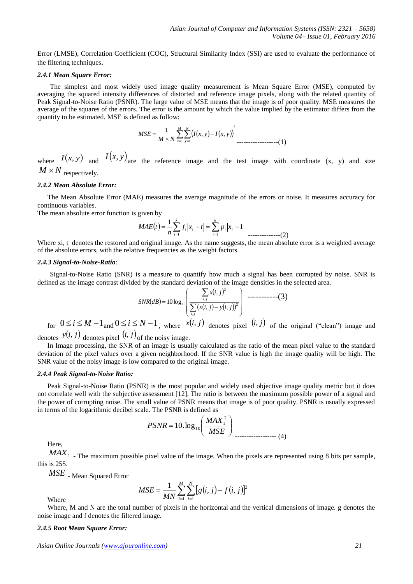Error (LMSE), Correlation Coefficient (COC), Structural Similarity Index (SSI) are used to evaluate the performance of the filtering techniques.

#### *2.4.1 Mean Square Error:*

The simplest and most widely used image quality measurement is Mean Square Error (MSE), computed by averaging the squared intensity differences of distorted and reference image pixels, along with the related quantity of Peak Signal-to-Noise Ratio (PSNR). The large value of MSE means that the image is of poor quality. MSE measures the average of the squares of the errors. The error is the amount by which the value implied by the estimator differs from the quantity to be estimated. MSE is defined as follow:

$$
MSE = \frac{1}{M \times N} \sum_{x=1}^{M} \sum_{y=1}^{N} (I(x, y) - \bar{I}(x, y))^{2}
$$

where  $I(x, y)$  and  $I(x, y)$  are the reference image and the test image with coordinate (x, y) and size  $M \times N$  respectively.

#### *2.4.2 Mean Absolute Error:*

The Mean Absolute Error (MAE) measures the average magnitude of the errors or noise. It measures accuracy for continuous variables.

The mean absolute error function is given by

$$
MAE(t) = \frac{1}{n} \sum_{i=1}^{k} f_i |x_i - t| = \sum_{i=1}^{k} p_i |x_i - 1|
$$

Where xi, t denotes the restored and original image. As the name suggests, the mean absolute error is a weighted average of the absolute errors, with the relative frequencies as the weight factors.

#### *2.4.3 Signal-to-Noise-Ratio:*

Signal-to-Noise Ratio (SNR) is a measure to quantify how much a signal has been corrupted by noise. SNR is defined as the image contrast divided by the standard deviation of the image densities in the selected area.

$$
SNR(dB) = 10 \log_{10} \left( \frac{\sum_{i,j} x(i,j)^2}{\sum_{i,j} (x(i,j) - y(i,j))^2} \right) \longrightarrow (3)
$$

for  $0 \le i \le M - 1$  and  $0 \le i \le N - 1$ , where  $x(i, j)$  denotes pixel  $(i, j)$  of the original ("clean") image and denotes  $y(i, j)$  denotes pixel  $(i, j)$  of the noisy image.

In Image processing, the SNR of an image is usually calculated as the ratio of the mean pixel value to the standard deviation of the pixel values over a given neighborhood. If the SNR value is high the image quality will be high. The SNR value of the noisy image is low compared to the original image.

#### *2.4.4 Peak Signal-to-Noise Ratio:*

Peak Signal-to-Noise Ratio (PSNR) is the most popular and widely used objective image quality metric but it does not correlate well with the subjective assessment [12]. The ratio is between the maximum possible power of a signal and the power of corrupting noise. The small value of PSNR means that image is of poor quality. PSNR is usually expressed in terms of the logarithmic decibel scale. The PSNR is defined as

$$
PSNR = 10. \log_{10} \left( \frac{MAX_1^2}{MSE} \right)
$$

Here,

Where

*MAX*<sup>1</sup> - The maximum possible pixel value of the image. When the pixels are represented using 8 bits per sample, this is 255.

*MSE* - Mean Squared Error

$$
MSE = \frac{1}{MN} \sum_{i=1}^{M} \sum_{j=1}^{N} [g(i, j) - f(i, j)]^{2}
$$

Where, M and N are the total number of pixels in the horizontal and the vertical dimensions of image. g denotes the noise image and f denotes the filtered image.

# *2.4.5 Root Mean Square Error:*

*Asian Online Journals (www.ajouronline.com) 21*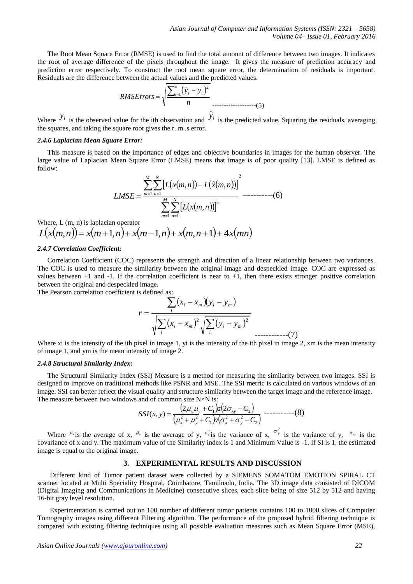The Root Mean Square Error (RMSE) is used to find the total amount of difference between two images. It indicates the root of average difference of the pixels throughout the image. It gives the measure of prediction accuracy and prediction error respectively. To construct the root mean square error, the determination of residuals is important. Residuals are the difference between the actual values and the predicted values.

RMSErrors = 
$$
\sqrt{\frac{\sum_{i=1}^{n} (\hat{y}_i - y_i)^2}{n}}
$$
 (5)

Where  $y_i$  is the observed value for the ith observation and  $\hat{y}_i$ is the predicted value. Squaring the residuals, averaging the squares, and taking the square root gives the r. m .s error.

## *2.4.6 Laplacian Mean Square Error:*

This measure is based on the importance of edges and objective boundaries in images for the human observer. The large value of Laplacian Mean Square Error (LMSE) means that image is of poor quality [13]. LMSE is defined as follow:

 2 1 1 2 1 1 , , ˆ , *<sup>M</sup> m N n M m N n L x m n L x m n L x m n LMSE* -----------(6)

Where, L (m, n) is laplacian operator  $L(x(m, n)) = x(m+1, n) + x(m-1, n) + x(m, n+1) + 4x(mn)$ 

# *2.4.7 Correlation Coefficient:*

Correlation Coefficient (COC) represents the strength and direction of a linear relationship between two variances. The COC is used to measure the similarity between the original image and despeckled image. COC are expressed as values between  $+1$  and  $-1$ . If the correlation coefficient is near to  $+1$ , then there exists stronger positive correlation between the original and despeckled image.

The Pearson correlation coefficient is defined as:

$$
r = \frac{\sum_{i} (x_i - x_m)(y_i - y_m)}{\sqrt{\sum_{i} (x_i - x_m)^2} \sqrt{\sum_{i} (y_i - y_m)^2}}
$$

Where xi is the intensity of the ith pixel in image 1, yi is the intensity of the ith pixel in image 2, xm is the mean intensity of image 1, and ym is the mean intensity of image 2.

#### *2.4.8 Structural Similarity Index:*

The Structural Similarity Index (SSI) Measure is a method for measuring the similarity between two images. SSI is designed to improve on traditional methods like PSNR and MSE. The SSI metric is calculated on various windows of an image. SSI can better reflect the visual quality and structure similarity between the target image and the reference image. The measure between two windows and of common size  $N \times N$  is:

$$
SSI(x, y) = \frac{(2\mu_x\mu_y + C_1)a(2\sigma_{xy} + C_2)}{(\mu_x^2 + \mu_y^2 + C_1)a(\sigma_x^2 + \sigma_y^2 + C_2)}
$$
-----(8)

Where  $\mu_{x}$  is the average of x,  $\mu_{y}$  is the average of y,  $\sigma_{x}^{2}$  is the variance of x,  $\sigma_{y}^{2}$  is the variance of y,  $\sigma_{xy}$  is the covariance of x and y. The maximum value of the Similarity index is 1 and Minimum Value is -1. If SI is 1, the estimated image is equal to the original image.

#### **3. EXPERIMENTAL RESULTS AND DISCUSSION**

Different kind of Tumor patient dataset were collected by a SIEMENS SOMATOM EMOTION SPIRAL CT scanner located at Multi Speciality Hospital, Coimbatore, Tamilnadu, India. The 3D image data consisted of DICOM (Digital Imaging and Communications in Medicine) consecutive slices, each slice being of size 512 by 512 and having 16-bit gray level resolution.

Experimentation is carried out on 100 number of different tumor patients contains 100 to 1000 slices of Computer Tomography images using different Filtering algorithm. The performance of the proposed hybrid filtering technique is compared with existing filtering techniques using all possible evaluation measures such as Mean Square Error (MSE),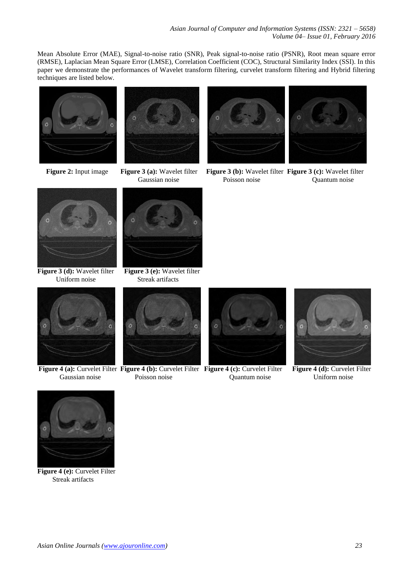Mean Absolute Error (MAE), Signal-to-noise ratio (SNR), Peak signal-to-noise ratio (PSNR), Root mean square error (RMSE), Laplacian Mean Square Error (LMSE), Correlation Coefficient (COC), Structural Similarity Index (SSI). In this paper we demonstrate the performances of Wavelet transform filtering, curvelet transform filtering and Hybrid filtering techniques are listed below.







**Figure 2:** Input image **Figure 3 (a):** Wavelet filter **Figure 3 (b):** Wavelet filter **Figure 3 (c):** Wavelet filter **Caussian noise Poisson noise Quantum noise** Quantum noise



**Figure 3 (d):** Wavelet filter **Figure 3 (e):** Wavelet filter Uniform noise Streak artifacts





**Figure 4 (a):** Curvelet Filter **Figure 4 (b):** Curvelet Filter **Figure 4 (c):** Curvelet Filter **Figure 4 (d):** Curvelet Filter



Gaussian noise Poisson noise Quantum noise Uniform noise







**Figure 4 (e):** Curvelet Filter Streak artifacts

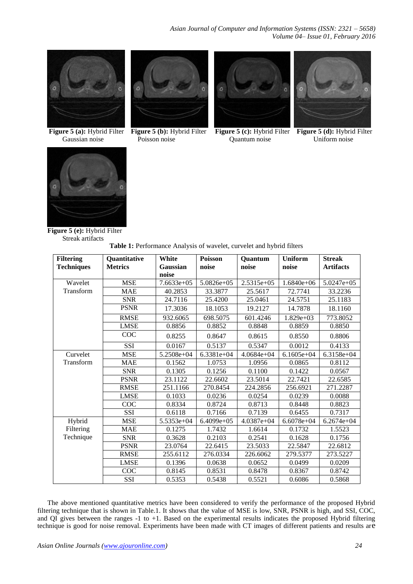

Figure 5 (a): Hybrid Filter



Gaussian noise Poisson noise Quantum noise



**Figure 5 (b):** Hybrid Filter **Figure 5 (c):** Hybrid Filter **Figure 5 (d):** Hybrid Filter **Poisson noise** Uniform noise





**Figure 5 (e):** Hybrid Filter Streak artifacts

| Table 1: Performance Analysis of wavelet, curvelet and hybrid filters |  |  |  |
|-----------------------------------------------------------------------|--|--|--|
|                                                                       |  |  |  |

| <b>Filtering</b>  | <b>Quantitative</b> | White        | <b>Poisson</b> | Quantum      | <b>Uniform</b> | <b>Streak</b>    |
|-------------------|---------------------|--------------|----------------|--------------|----------------|------------------|
| <b>Techniques</b> | <b>Metrics</b>      | Gaussian     | noise          | noise        | noise          | <b>Artifacts</b> |
|                   |                     | noise        |                |              |                |                  |
| Wavelet           | <b>MSE</b>          | $7.6633e+05$ | $5.0826e+05$   | $2.5315e+05$ | $1.6840e+06$   | $5.0247e+05$     |
| Transform         | <b>MAE</b>          | 40.2853      | 33.3877        | 25.5617      | 72.7741        | 33.2236          |
|                   | <b>SNR</b>          | 24.7116      | 25.4200        | 25.0461      | 24.5751        | 25.1183          |
|                   | <b>PSNR</b>         | 17.3036      | 18.1053        | 19.2127      | 14.7878        | 18.1160          |
|                   | <b>RMSE</b>         | 932.6065     | 698.5075       | 601.4246     | 1.829e+03      | 773.8052         |
|                   | <b>LMSE</b>         | 0.8856       | 0.8852         | 0.8848       | 0.8859         | 0.8850           |
|                   | COC                 | 0.8255       | 0.8647         | 0.8615       | 0.8550         | 0.8806           |
|                   | <b>SSI</b>          | 0.0167       | 0.5137         | 0.5347       | 0.0012         | 0.4133           |
| Curvelet          | <b>MSE</b>          | $5.2508e+04$ | $6.3381e+04$   | $4.0684e+04$ | $6.1605e+04$   | $6.3158e+04$     |
| Transform         | <b>MAE</b>          | 0.1562       | 1.0753         | 1.0956       | 0.0865         | 0.8112           |
|                   | <b>SNR</b>          | 0.1305       | 0.1256         | 0.1100       | 0.1422         | 0.0567           |
|                   | <b>PSNR</b>         | 23.1122      | 22.6602        | 23.5014      | 22.7421        | 22.6585          |
|                   | <b>RMSE</b>         | 251.1166     | 270.8454       | 224.2856     | 256.6921       | 271.2287         |
|                   | <b>LMSE</b>         | 0.1033       | 0.0236         | 0.0254       | 0.0239         | 0.0088           |
|                   | COC                 | 0.8334       | 0.8724         | 0.8713       | 0.8448         | 0.8823           |
|                   | SSI                 | 0.6118       | 0.7166         | 0.7139       | 0.6455         | 0.7317           |
| Hybrid            | <b>MSE</b>          | 5.5353e+04   | $6.4099e+0.5$  | $4.0387e+04$ | $6.6078e+04$   | $6.2674e+04$     |
| Filtering         | MAE                 | 0.1275       | 1.7432         | 1.6614       | 0.1732         | 1.5523           |
| Technique         | <b>SNR</b>          | 0.3628       | 0.2103         | 0.2541       | 0.1628         | 0.1756           |
|                   | <b>PSNR</b>         | 23.0764      | 22.6415        | 23.5033      | 22.5847        | 22.6812          |
|                   | <b>RMSE</b>         | 255.6112     | 276.0334       | 226.6062     | 279.5377       | 273.5227         |
|                   | <b>LMSE</b>         | 0.1396       | 0.0638         | 0.0652       | 0.0499         | 0.0209           |
|                   | COC                 | 0.8145       | 0.8531         | 0.8478       | 0.8367         | 0.8742           |
|                   | SSI                 | 0.5353       | 0.5438         | 0.5521       | 0.6086         | 0.5868           |

The above mentioned quantitative metrics have been considered to verify the performance of the proposed Hybrid filtering technique that is shown in Table.1. It shows that the value of MSE is low, SNR, PSNR is high, and SSI, COC, and QI gives between the ranges -1 to +1. Based on the experimental results indicates the proposed Hybrid filtering technique is good for noise removal. Experiments have been made with CT images of different patients and results are